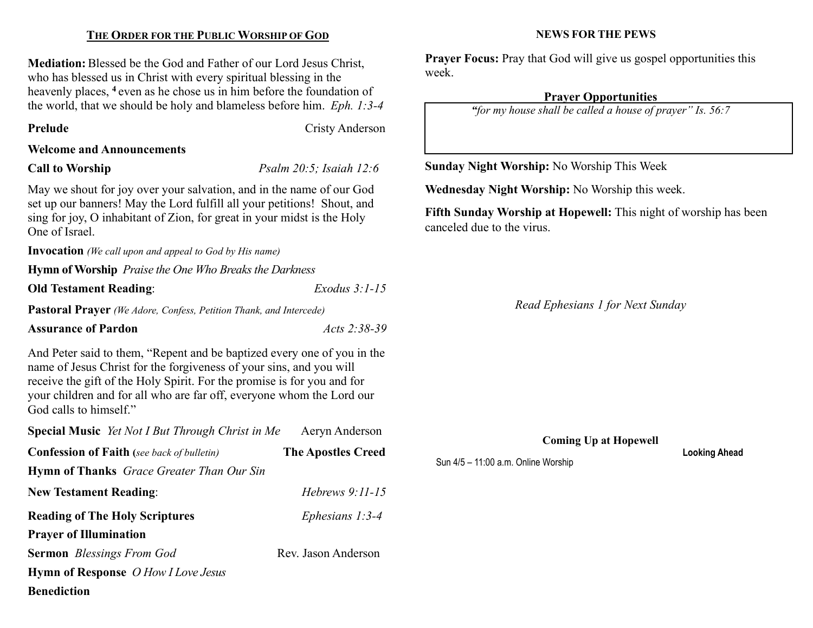### THE ORDER FOR THE PUBLIC WORSHIP OF GOD

Mediation: Blessed be the God and Father of our Lord Jesus Christ, who has blessed us in Christ with every spiritual blessing in the heavenly places, <sup>4</sup> even as he chose us in him before the foundation of the world, that we should be holy and blameless before him. Eph. 1:3-4

Prelude Cristy Anderson

#### Welcome and Announcements

Call to Worship *Psalm 20:5; Isaiah 12:6* 

May we shout for joy over your salvation, and in the name of our God set up our banners! May the Lord fulfill all your petitions! Shout, and sing for joy, O inhabitant of Zion, for great in your midst is the Holy One of Israel.

Invocation (We call upon and appeal to God by His name)

Hymn of Worship Praise the One Who Breaks the Darkness

Old Testament Reading: Exodus 3:1-15

Pastoral Prayer (We Adore, Confess, Petition Thank, and Intercede)

Assurance of Pardon Acts 2:38-39

And Peter said to them, "Repent and be baptized every one of you in the name of Jesus Christ for the forgiveness of your sins, and you will receive the gift of the Holy Spirit. For the promise is for you and for your children and for all who are far off, everyone whom the Lord our God calls to himself."

| <b>Special Music</b> Yet Not I But Through Christ in Me | Aeryn Anderson            |
|---------------------------------------------------------|---------------------------|
| <b>Confession of Faith</b> (see back of bulletin)       | <b>The Apostles Creed</b> |
| <b>Hymn of Thanks</b> Grace Greater Than Our Sin        |                           |
| <b>New Testament Reading:</b>                           | Hebrews $9:11-15$         |
| <b>Reading of The Holy Scriptures</b>                   | Ephesians $1:3-4$         |
| <b>Prayer of Illumination</b>                           |                           |
| <b>Sermon</b> Blessings From God                        | Rev. Jason Anderson       |
| <b>Hymn of Response</b> O How I Love Jesus              |                           |
| <b>Benediction</b>                                      |                           |

#### NEWS FOR THE PEWS

Prayer Focus: Pray that God will give us gospel opportunities this week.

#### Prayer Opportunities

"for my house shall be called a house of prayer" Is. 56:7

Sunday Night Worship: No Worship This Week

Wednesday Night Worship: No Worship this week.

Fifth Sunday Worship at Hopewell: This night of worship has been canceled due to the virus.

Read Ephesians 1 for Next Sunday

Coming Up at Hopewell

Looking Ahead

Sun 4/5 – 11:00 a.m. Online Worship